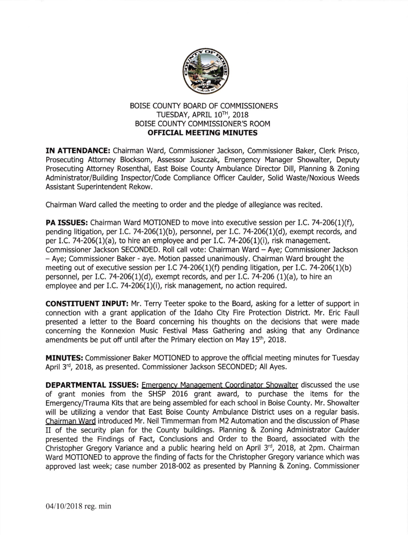

## BOISE COUNTY BOARD OF COMMISSIONERS TUESDAY, APRIL 1OTH, 2018 BOISE COUNTY COMMISSIONER'S ROOM **OFFICIAL MEETING MINUTES**

IN ATTENDANCE: Chairman Ward, Commissioner Jackson, Commissioner Baker, Clerk Prisco, Prosecuting Attorney Blocksom, Assessor Juszczak, Emergency Manager Showalter, Deputy Prosecuting Attorney Rosenthal, East Boise County Ambulance Director Dill, Planning & Zoning Administrator/Building Inspector/Code Compliance Officer Caulder, Solid Waste/Noxious Weeds Assistant Superintendent Rekow.

Chairman Ward called the meeting to order and the pledge of allegiance was recited.

PA ISSUES: Chairman Ward MOTIONED to move into executive session per I.C. 74-206(1)(f), pending litigation, per I.C. 74-206(1)(b), personnel, per I.C. 74-206(1)(d), exempt records, and per I.C. 74-206(1)(a), to hire an employee and per I.C. 74-206(1)(i), risk management. Commissioner Jackson SECONDED. Roll call vote: Chairman Ward - Aye; Commissioner Jackson - Aye; Commissioner Baker - aye. Motion passed unanimously. Chairman Ward brought the meeting out of executive session per I.C 74-206(1)(f) pending litigation, per I.C. 74-206(1)(b) personnel, per 1.C.74-206(1)(d), exempt records, and per 1.C.74-206 (1)(a), to hire an employee and per LC. 74-206(1)(i), risk management, no action required.

CONSTTTUENT INPUT: Mr. Terry Teeter spoke to the Board, asking for a letter of support in connection with a grant application of the Idaho City Fire Protection District. Mr. Eric Faull presented a letter to the Board concerning his thoughts on the decisions that were made concerning the Konnexion Music Festival Mass Gathering and asking that any Ordinance amendments be put off until after the Primary election on May 15<sup>th</sup>, 2018.

**MINUTES:** Commissioner Baker MOTIONED to approve the official meeting minutes for Tuesday April 3'd, 2018, as presented. Commissioner Jackson SECONDED; All Ayes.

**DEPARTMENTAL ISSUES:** Emergency Management Coordinator Showalter discussed the use of grant monies from the SHSP 2016 grant award, to purchase the items for the Emergency/Trauma Kits that are being assembled for each school in Boise County. Mr. Showalter will be utilizing a vendor that East Boise County Ambulance District uses on a regular basis. Chairman Ward introduced Mr. Neil Timmerman from M2 Automation and the discussion of Phase II of the security plan for the County buildings. Planning & Zoning Administrator Caulder presented the Findings of Fact, Conclusions and Order to the Board, associated with the Christopher Gregory Variance and a public hearing held on April 3'd, 2018, at 2pm. Chairman Ward MOTIONED to approve the finding of facts for the Christopher Gregory variance which was approved last week; case number 2018-002 as presented by Planning & Zoning. Commissioner